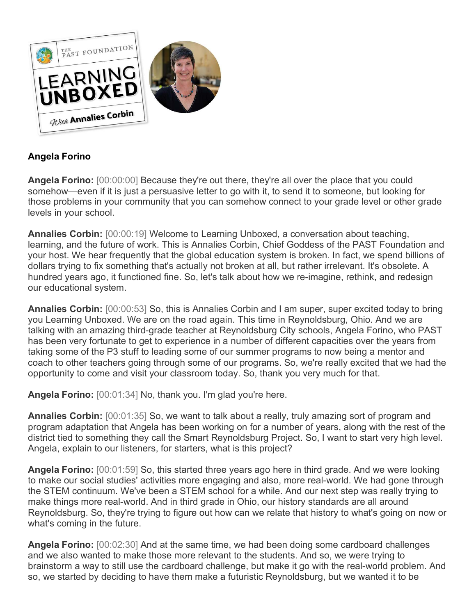

## **Angela Forino**

**Angela Forino:** [00:00:00] Because they're out there, they're all over the place that you could somehow—even if it is just a persuasive letter to go with it, to send it to someone, but looking for those problems in your community that you can somehow connect to your grade level or other grade levels in your school.

**Annalies Corbin:** [00:00:19] Welcome to Learning Unboxed, a conversation about teaching, learning, and the future of work. This is Annalies Corbin, Chief Goddess of the PAST Foundation and your host. We hear frequently that the global education system is broken. In fact, we spend billions of dollars trying to fix something that's actually not broken at all, but rather irrelevant. It's obsolete. A hundred years ago, it functioned fine. So, let's talk about how we re-imagine, rethink, and redesign our educational system.

**Annalies Corbin:** [00:00:53] So, this is Annalies Corbin and I am super, super excited today to bring you Learning Unboxed. We are on the road again. This time in Reynoldsburg, Ohio. And we are talking with an amazing third-grade teacher at Reynoldsburg City schools, Angela Forino, who PAST has been very fortunate to get to experience in a number of different capacities over the years from taking some of the P3 stuff to leading some of our summer programs to now being a mentor and coach to other teachers going through some of our programs. So, we're really excited that we had the opportunity to come and visit your classroom today. So, thank you very much for that.

**Angela Forino:** [00:01:34] No, thank you. I'm glad you're here.

**Annalies Corbin:** [00:01:35] So, we want to talk about a really, truly amazing sort of program and program adaptation that Angela has been working on for a number of years, along with the rest of the district tied to something they call the Smart Reynoldsburg Project. So, I want to start very high level. Angela, explain to our listeners, for starters, what is this project?

**Angela Forino:** [00:01:59] So, this started three years ago here in third grade. And we were looking to make our social studies' activities more engaging and also, more real-world. We had gone through the STEM continuum. We've been a STEM school for a while. And our next step was really trying to make things more real-world. And in third grade in Ohio, our history standards are all around Reynoldsburg. So, they're trying to figure out how can we relate that history to what's going on now or what's coming in the future.

**Angela Forino:** [00:02:30] And at the same time, we had been doing some cardboard challenges and we also wanted to make those more relevant to the students. And so, we were trying to brainstorm a way to still use the cardboard challenge, but make it go with the real-world problem. And so, we started by deciding to have them make a futuristic Reynoldsburg, but we wanted it to be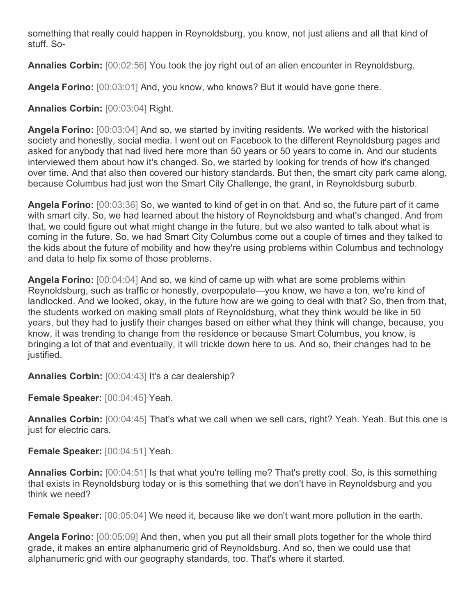something that really could happen in Reynoldsburg, you know, not just aliens and all that kind of stuff. So-

**Annalies Corbin:** [00:02:56] You took the joy right out of an alien encounter in Reynoldsburg.

**Angela Forino:** [00:03:01] And, you know, who knows? But it would have gone there.

**Annalies Corbin:** [00:03:04] Right.

**Angela Forino:** [00:03:04] And so, we started by inviting residents. We worked with the historical society and honestly, social media. I went out on Facebook to the different Reynoldsburg pages and asked for anybody that had lived here more than 50 years or 50 years to come in. And our students interviewed them about how it's changed. So, we started by looking for trends of how it's changed over time. And that also then covered our history standards. But then, the smart city park came along, because Columbus had just won the Smart City Challenge, the grant, in Reynoldsburg suburb.

**Angela Forino:** [00:03:36] So, we wanted to kind of get in on that. And so, the future part of it came with smart city. So, we had learned about the history of Reynoldsburg and what's changed. And from that, we could figure out what might change in the future, but we also wanted to talk about what is coming in the future. So, we had Smart City Columbus come out a couple of times and they talked to the kids about the future of mobility and how they're using problems within Columbus and technology and data to help fix some of those problems.

**Angela Forino:** [00:04:04] And so, we kind of came up with what are some problems within Reynoldsburg, such as traffic or honestly, overpopulate—you know, we have a ton, we're kind of landlocked. And we looked, okay, in the future how are we going to deal with that? So, then from that, the students worked on making small plots of Reynoldsburg, what they think would be like in 50 years, but they had to justify their changes based on either what they think will change, because, you know, it was trending to change from the residence or because Smart Columbus, you know, is bringing a lot of that and eventually, it will trickle down here to us. And so, their changes had to be justified.

**Annalies Corbin:** [00:04:43] It's a car dealership?

**Female Speaker:** [00:04:45] Yeah.

**Annalies Corbin:** [00:04:45] That's what we call when we sell cars, right? Yeah. Yeah. But this one is just for electric cars.

**Female Speaker:** [00:04:51] Yeah.

**Annalies Corbin:** [00:04:51] Is that what you're telling me? That's pretty cool. So, is this something that exists in Reynoldsburg today or is this something that we don't have in Reynoldsburg and you think we need?

**Female Speaker:** [00:05:04] We need it, because like we don't want more pollution in the earth.

**Angela Forino:** [00:05:09] And then, when you put all their small plots together for the whole third grade, it makes an entire alphanumeric grid of Reynoldsburg. And so, then we could use that alphanumeric grid with our geography standards, too. That's where it started.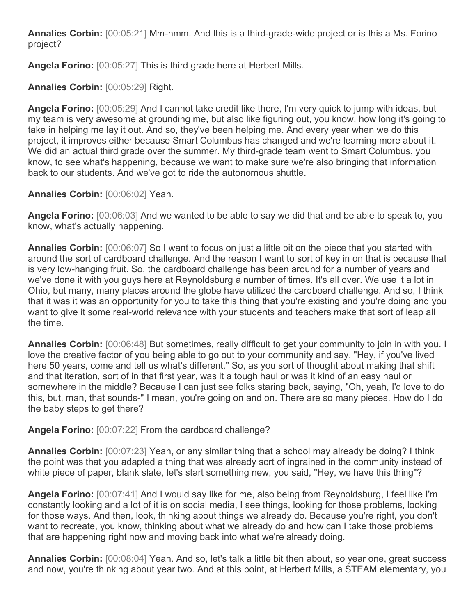**Annalies Corbin:** [00:05:21] Mm-hmm. And this is a third-grade-wide project or is this a Ms. Forino project?

**Angela Forino:** [00:05:27] This is third grade here at Herbert Mills.

**Annalies Corbin:** [00:05:29] Right.

**Angela Forino:** [00:05:29] And I cannot take credit like there, I'm very quick to jump with ideas, but my team is very awesome at grounding me, but also like figuring out, you know, how long it's going to take in helping me lay it out. And so, they've been helping me. And every year when we do this project, it improves either because Smart Columbus has changed and we're learning more about it. We did an actual third grade over the summer. My third-grade team went to Smart Columbus, you know, to see what's happening, because we want to make sure we're also bringing that information back to our students. And we've got to ride the autonomous shuttle.

**Annalies Corbin:** [00:06:02] Yeah.

**Angela Forino:** [00:06:03] And we wanted to be able to say we did that and be able to speak to, you know, what's actually happening.

**Annalies Corbin:** [00:06:07] So I want to focus on just a little bit on the piece that you started with around the sort of cardboard challenge. And the reason I want to sort of key in on that is because that is very low-hanging fruit. So, the cardboard challenge has been around for a number of years and we've done it with you guys here at Reynoldsburg a number of times. It's all over. We use it a lot in Ohio, but many, many places around the globe have utilized the cardboard challenge. And so, I think that it was it was an opportunity for you to take this thing that you're existing and you're doing and you want to give it some real-world relevance with your students and teachers make that sort of leap all the time.

**Annalies Corbin:** [00:06:48] But sometimes, really difficult to get your community to join in with you. I love the creative factor of you being able to go out to your community and say, "Hey, if you've lived here 50 years, come and tell us what's different." So, as you sort of thought about making that shift and that iteration, sort of in that first year, was it a tough haul or was it kind of an easy haul or somewhere in the middle? Because I can just see folks staring back, saying, "Oh, yeah, I'd love to do this, but, man, that sounds-" I mean, you're going on and on. There are so many pieces. How do I do the baby steps to get there?

**Angela Forino:** [00:07:22] From the cardboard challenge?

**Annalies Corbin:** [00:07:23] Yeah, or any similar thing that a school may already be doing? I think the point was that you adapted a thing that was already sort of ingrained in the community instead of white piece of paper, blank slate, let's start something new, you said, "Hey, we have this thing"?

**Angela Forino:** [00:07:41] And I would say like for me, also being from Reynoldsburg, I feel like I'm constantly looking and a lot of it is on social media, I see things, looking for those problems, looking for those ways. And then, look, thinking about things we already do. Because you're right, you don't want to recreate, you know, thinking about what we already do and how can I take those problems that are happening right now and moving back into what we're already doing.

**Annalies Corbin:** [00:08:04] Yeah. And so, let's talk a little bit then about, so year one, great success and now, you're thinking about year two. And at this point, at Herbert Mills, a STEAM elementary, you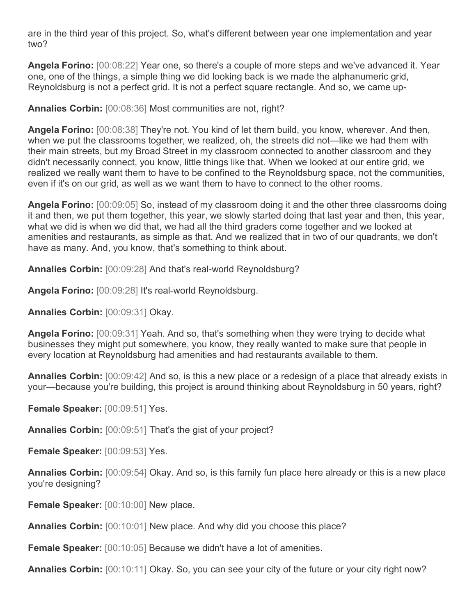are in the third year of this project. So, what's different between year one implementation and year two?

**Angela Forino:** [00:08:22] Year one, so there's a couple of more steps and we've advanced it. Year one, one of the things, a simple thing we did looking back is we made the alphanumeric grid, Reynoldsburg is not a perfect grid. It is not a perfect square rectangle. And so, we came up-

**Annalies Corbin:** [00:08:36] Most communities are not, right?

**Angela Forino:** [00:08:38] They're not. You kind of let them build, you know, wherever. And then, when we put the classrooms together, we realized, oh, the streets did not—like we had them with their main streets, but my Broad Street in my classroom connected to another classroom and they didn't necessarily connect, you know, little things like that. When we looked at our entire grid, we realized we really want them to have to be confined to the Reynoldsburg space, not the communities, even if it's on our grid, as well as we want them to have to connect to the other rooms.

**Angela Forino:** [00:09:05] So, instead of my classroom doing it and the other three classrooms doing it and then, we put them together, this year, we slowly started doing that last year and then, this year, what we did is when we did that, we had all the third graders come together and we looked at amenities and restaurants, as simple as that. And we realized that in two of our quadrants, we don't have as many. And, you know, that's something to think about.

**Annalies Corbin:** [00:09:28] And that's real-world Reynoldsburg?

**Angela Forino:** [00:09:28] It's real-world Reynoldsburg.

**Annalies Corbin:** [00:09:31] Okay.

**Angela Forino:** [00:09:31] Yeah. And so, that's something when they were trying to decide what businesses they might put somewhere, you know, they really wanted to make sure that people in every location at Reynoldsburg had amenities and had restaurants available to them.

**Annalies Corbin:** [00:09:42] And so, is this a new place or a redesign of a place that already exists in your—because you're building, this project is around thinking about Reynoldsburg in 50 years, right?

**Female Speaker:** [00:09:51] Yes.

**Annalies Corbin:** [00:09:51] That's the gist of your project?

**Female Speaker:** [00:09:53] Yes.

**Annalies Corbin:** [00:09:54] Okay. And so, is this family fun place here already or this is a new place you're designing?

**Female Speaker:** [00:10:00] New place.

**Annalies Corbin:** [00:10:01] New place. And why did you choose this place?

**Female Speaker:** [00:10:05] Because we didn't have a lot of amenities.

**Annalies Corbin:** [00:10:11] Okay. So, you can see your city of the future or your city right now?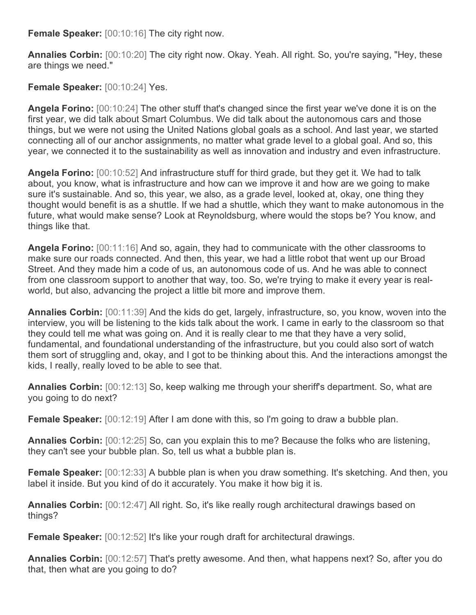**Female Speaker:** [00:10:16] The city right now.

**Annalies Corbin:** [00:10:20] The city right now. Okay. Yeah. All right. So, you're saying, "Hey, these are things we need."

**Female Speaker:** [00:10:24] Yes.

**Angela Forino:** [00:10:24] The other stuff that's changed since the first year we've done it is on the first year, we did talk about Smart Columbus. We did talk about the autonomous cars and those things, but we were not using the United Nations global goals as a school. And last year, we started connecting all of our anchor assignments, no matter what grade level to a global goal. And so, this year, we connected it to the sustainability as well as innovation and industry and even infrastructure.

**Angela Forino:** [00:10:52] And infrastructure stuff for third grade, but they get it. We had to talk about, you know, what is infrastructure and how can we improve it and how are we going to make sure it's sustainable. And so, this year, we also, as a grade level, looked at, okay, one thing they thought would benefit is as a shuttle. If we had a shuttle, which they want to make autonomous in the future, what would make sense? Look at Reynoldsburg, where would the stops be? You know, and things like that.

**Angela Forino:** [00:11:16] And so, again, they had to communicate with the other classrooms to make sure our roads connected. And then, this year, we had a little robot that went up our Broad Street. And they made him a code of us, an autonomous code of us. And he was able to connect from one classroom support to another that way, too. So, we're trying to make it every year is realworld, but also, advancing the project a little bit more and improve them.

**Annalies Corbin:** [00:11:39] And the kids do get, largely, infrastructure, so, you know, woven into the interview, you will be listening to the kids talk about the work. I came in early to the classroom so that they could tell me what was going on. And it is really clear to me that they have a very solid, fundamental, and foundational understanding of the infrastructure, but you could also sort of watch them sort of struggling and, okay, and I got to be thinking about this. And the interactions amongst the kids, I really, really loved to be able to see that.

**Annalies Corbin:** [00:12:13] So, keep walking me through your sheriff's department. So, what are you going to do next?

**Female Speaker:** [00:12:19] After I am done with this, so I'm going to draw a bubble plan.

**Annalies Corbin:** [00:12:25] So, can you explain this to me? Because the folks who are listening, they can't see your bubble plan. So, tell us what a bubble plan is.

**Female Speaker:** [00:12:33] A bubble plan is when you draw something. It's sketching. And then, you label it inside. But you kind of do it accurately. You make it how big it is.

**Annalies Corbin:** [00:12:47] All right. So, it's like really rough architectural drawings based on things?

**Female Speaker:** [00:12:52] It's like your rough draft for architectural drawings.

**Annalies Corbin:** [00:12:57] That's pretty awesome. And then, what happens next? So, after you do that, then what are you going to do?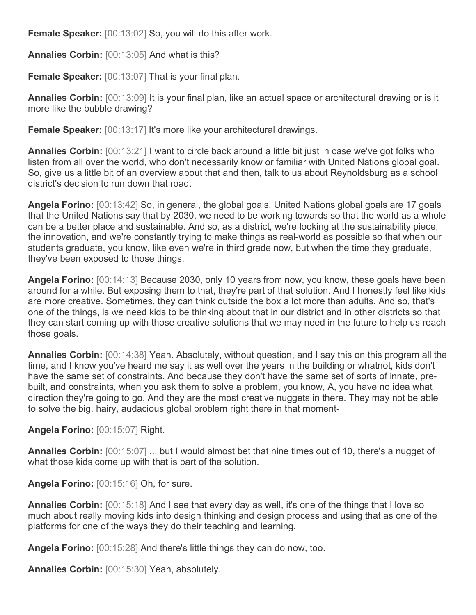**Female Speaker:** [00:13:02] So, you will do this after work.

**Annalies Corbin:** [00:13:05] And what is this?

**Female Speaker:** [00:13:07] That is your final plan.

**Annalies Corbin:** [00:13:09] It is your final plan, like an actual space or architectural drawing or is it more like the bubble drawing?

**Female Speaker:** [00:13:17] It's more like your architectural drawings.

**Annalies Corbin:** [00:13:21] I want to circle back around a little bit just in case we've got folks who listen from all over the world, who don't necessarily know or familiar with United Nations global goal. So, give us a little bit of an overview about that and then, talk to us about Reynoldsburg as a school district's decision to run down that road.

**Angela Forino:** [00:13:42] So, in general, the global goals, United Nations global goals are 17 goals that the United Nations say that by 2030, we need to be working towards so that the world as a whole can be a better place and sustainable. And so, as a district, we're looking at the sustainability piece, the innovation, and we're constantly trying to make things as real-world as possible so that when our students graduate, you know, like even we're in third grade now, but when the time they graduate, they've been exposed to those things.

**Angela Forino:** [00:14:13] Because 2030, only 10 years from now, you know, these goals have been around for a while. But exposing them to that, they're part of that solution. And I honestly feel like kids are more creative. Sometimes, they can think outside the box a lot more than adults. And so, that's one of the things, is we need kids to be thinking about that in our district and in other districts so that they can start coming up with those creative solutions that we may need in the future to help us reach those goals.

**Annalies Corbin:** [00:14:38] Yeah. Absolutely, without question, and I say this on this program all the time, and I know you've heard me say it as well over the years in the building or whatnot, kids don't have the same set of constraints. And because they don't have the same set of sorts of innate, prebuilt, and constraints, when you ask them to solve a problem, you know, A, you have no idea what direction they're going to go. And they are the most creative nuggets in there. They may not be able to solve the big, hairy, audacious global problem right there in that moment-

**Angela Forino:** [00:15:07] Right.

**Annalies Corbin:** [00:15:07] ... but I would almost bet that nine times out of 10, there's a nugget of what those kids come up with that is part of the solution.

**Angela Forino:** [00:15:16] Oh, for sure.

**Annalies Corbin:** [00:15:18] And I see that every day as well, it's one of the things that I love so much about really moving kids into design thinking and design process and using that as one of the platforms for one of the ways they do their teaching and learning.

**Angela Forino:** [00:15:28] And there's little things they can do now, too.

**Annalies Corbin:** [00:15:30] Yeah, absolutely.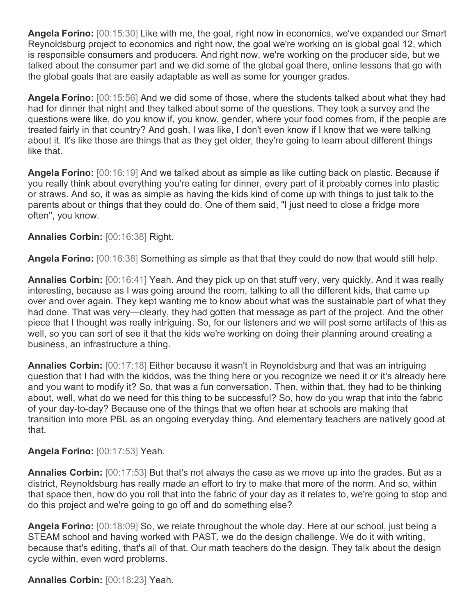**Angela Forino:** [00:15:30] Like with me, the goal, right now in economics, we've expanded our Smart Reynoldsburg project to economics and right now, the goal we're working on is global goal 12, which is responsible consumers and producers. And right now, we're working on the producer side, but we talked about the consumer part and we did some of the global goal there, online lessons that go with the global goals that are easily adaptable as well as some for younger grades.

**Angela Forino:** [00:15:56] And we did some of those, where the students talked about what they had had for dinner that night and they talked about some of the questions. They took a survey and the questions were like, do you know if, you know, gender, where your food comes from, if the people are treated fairly in that country? And gosh, I was like, I don't even know if I know that we were talking about it. It's like those are things that as they get older, they're going to learn about different things like that.

**Angela Forino:** [00:16:19] And we talked about as simple as like cutting back on plastic. Because if you really think about everything you're eating for dinner, every part of it probably comes into plastic or straws. And so, it was as simple as having the kids kind of come up with things to just talk to the parents about or things that they could do. One of them said, "I just need to close a fridge more often", you know.

## **Annalies Corbin:** [00:16:38] Right.

**Angela Forino:** [00:16:38] Something as simple as that that they could do now that would still help.

**Annalies Corbin:** [00:16:41] Yeah. And they pick up on that stuff very, very quickly. And it was really interesting, because as I was going around the room, talking to all the different kids, that came up over and over again. They kept wanting me to know about what was the sustainable part of what they had done. That was very—clearly, they had gotten that message as part of the project. And the other piece that I thought was really intriguing. So, for our listeners and we will post some artifacts of this as well, so you can sort of see it that the kids we're working on doing their planning around creating a business, an infrastructure a thing.

**Annalies Corbin:** [00:17:18] Either because it wasn't in Reynoldsburg and that was an intriguing question that I had with the kiddos, was the thing here or you recognize we need it or it's already here and you want to modify it? So, that was a fun conversation. Then, within that, they had to be thinking about, well, what do we need for this thing to be successful? So, how do you wrap that into the fabric of your day-to-day? Because one of the things that we often hear at schools are making that transition into more PBL as an ongoing everyday thing. And elementary teachers are natively good at that.

## **Angela Forino:** [00:17:53] Yeah.

**Annalies Corbin:** [00:17:53] But that's not always the case as we move up into the grades. But as a district, Reynoldsburg has really made an effort to try to make that more of the norm. And so, within that space then, how do you roll that into the fabric of your day as it relates to, we're going to stop and do this project and we're going to go off and do something else?

**Angela Forino:** [00:18:09] So, we relate throughout the whole day. Here at our school, just being a STEAM school and having worked with PAST, we do the design challenge. We do it with writing, because that's editing, that's all of that. Our math teachers do the design. They talk about the design cycle within, even word problems.

**Annalies Corbin:** [00:18:23] Yeah.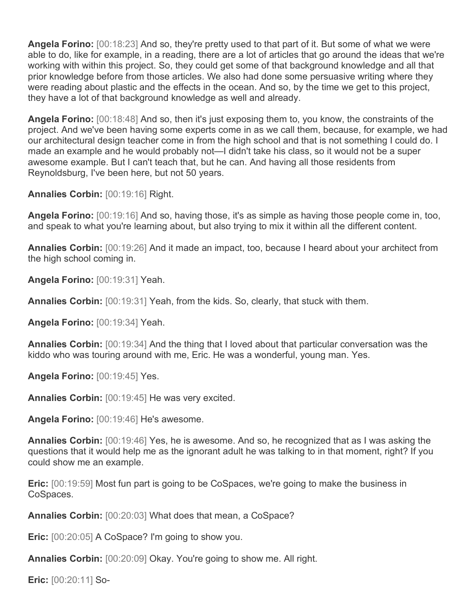**Angela Forino:** [00:18:23] And so, they're pretty used to that part of it. But some of what we were able to do, like for example, in a reading, there are a lot of articles that go around the ideas that we're working with within this project. So, they could get some of that background knowledge and all that prior knowledge before from those articles. We also had done some persuasive writing where they were reading about plastic and the effects in the ocean. And so, by the time we get to this project, they have a lot of that background knowledge as well and already.

**Angela Forino:** [00:18:48] And so, then it's just exposing them to, you know, the constraints of the project. And we've been having some experts come in as we call them, because, for example, we had our architectural design teacher come in from the high school and that is not something I could do. I made an example and he would probably not—I didn't take his class, so it would not be a super awesome example. But I can't teach that, but he can. And having all those residents from Reynoldsburg, I've been here, but not 50 years.

**Annalies Corbin:** [00:19:16] Right.

**Angela Forino:** [00:19:16] And so, having those, it's as simple as having those people come in, too, and speak to what you're learning about, but also trying to mix it within all the different content.

**Annalies Corbin:** [00:19:26] And it made an impact, too, because I heard about your architect from the high school coming in.

**Angela Forino:** [00:19:31] Yeah.

**Annalies Corbin:** [00:19:31] Yeah, from the kids. So, clearly, that stuck with them.

**Angela Forino:** [00:19:34] Yeah.

**Annalies Corbin:** [00:19:34] And the thing that I loved about that particular conversation was the kiddo who was touring around with me, Eric. He was a wonderful, young man. Yes.

**Angela Forino:** [00:19:45] Yes.

**Annalies Corbin:** [00:19:45] He was very excited.

**Angela Forino:** [00:19:46] He's awesome.

**Annalies Corbin:** [00:19:46] Yes, he is awesome. And so, he recognized that as I was asking the questions that it would help me as the ignorant adult he was talking to in that moment, right? If you could show me an example.

**Eric:** [00:19:59] Most fun part is going to be CoSpaces, we're going to make the business in CoSpaces.

**Annalies Corbin:** [00:20:03] What does that mean, a CoSpace?

**Eric:** [00:20:05] A CoSpace? I'm going to show you.

**Annalies Corbin:** [00:20:09] Okay. You're going to show me. All right.

**Eric:** [00:20:11] So-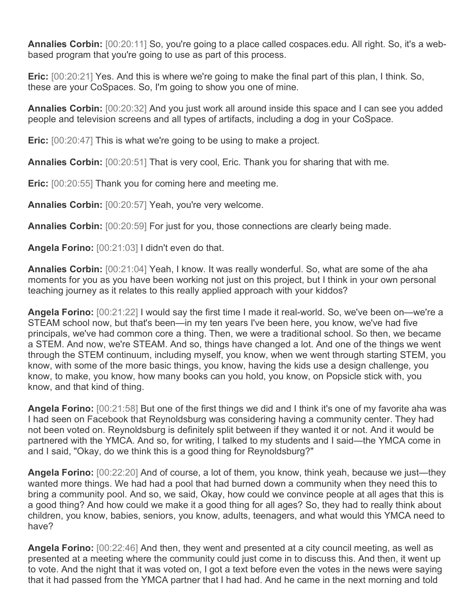**Annalies Corbin:** [00:20:11] So, you're going to a place called cospaces.edu. All right. So, it's a webbased program that you're going to use as part of this process.

**Eric:** [00:20:21] Yes. And this is where we're going to make the final part of this plan, I think. So, these are your CoSpaces. So, I'm going to show you one of mine.

**Annalies Corbin:** [00:20:32] And you just work all around inside this space and I can see you added people and television screens and all types of artifacts, including a dog in your CoSpace.

**Eric:** [00:20:47] This is what we're going to be using to make a project.

**Annalies Corbin:** [00:20:51] That is very cool, Eric. Thank you for sharing that with me.

**Eric:** [00:20:55] Thank you for coming here and meeting me.

**Annalies Corbin:** [00:20:57] Yeah, you're very welcome.

**Annalies Corbin:** [00:20:59] For just for you, those connections are clearly being made.

**Angela Forino:** [00:21:03] I didn't even do that.

**Annalies Corbin:** [00:21:04] Yeah, I know. It was really wonderful. So, what are some of the aha moments for you as you have been working not just on this project, but I think in your own personal teaching journey as it relates to this really applied approach with your kiddos?

**Angela Forino:** [00:21:22] I would say the first time I made it real-world. So, we've been on—we're a STEAM school now, but that's been—in my ten years I've been here, you know, we've had five principals, we've had common core a thing. Then, we were a traditional school. So then, we became a STEM. And now, we're STEAM. And so, things have changed a lot. And one of the things we went through the STEM continuum, including myself, you know, when we went through starting STEM, you know, with some of the more basic things, you know, having the kids use a design challenge, you know, to make, you know, how many books can you hold, you know, on Popsicle stick with, you know, and that kind of thing.

**Angela Forino:** [00:21:58] But one of the first things we did and I think it's one of my favorite aha was I had seen on Facebook that Reynoldsburg was considering having a community center. They had not been voted on. Reynoldsburg is definitely split between if they wanted it or not. And it would be partnered with the YMCA. And so, for writing, I talked to my students and I said—the YMCA come in and I said, "Okay, do we think this is a good thing for Reynoldsburg?"

**Angela Forino:** [00:22:20] And of course, a lot of them, you know, think yeah, because we just—they wanted more things. We had had a pool that had burned down a community when they need this to bring a community pool. And so, we said, Okay, how could we convince people at all ages that this is a good thing? And how could we make it a good thing for all ages? So, they had to really think about children, you know, babies, seniors, you know, adults, teenagers, and what would this YMCA need to have?

**Angela Forino:** [00:22:46] And then, they went and presented at a city council meeting, as well as presented at a meeting where the community could just come in to discuss this. And then, it went up to vote. And the night that it was voted on, I got a text before even the votes in the news were saying that it had passed from the YMCA partner that I had had. And he came in the next morning and told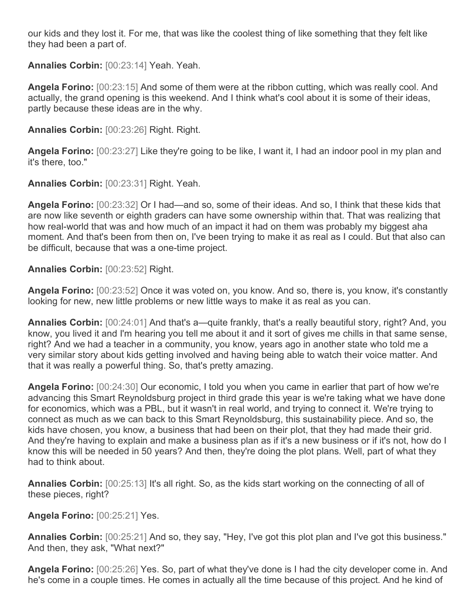our kids and they lost it. For me, that was like the coolest thing of like something that they felt like they had been a part of.

**Annalies Corbin:** [00:23:14] Yeah. Yeah.

**Angela Forino:** [00:23:15] And some of them were at the ribbon cutting, which was really cool. And actually, the grand opening is this weekend. And I think what's cool about it is some of their ideas, partly because these ideas are in the why.

**Annalies Corbin:** [00:23:26] Right. Right.

**Angela Forino:** [00:23:27] Like they're going to be like, I want it, I had an indoor pool in my plan and it's there, too."

**Annalies Corbin:** [00:23:31] Right. Yeah.

**Angela Forino:** [00:23:32] Or I had—and so, some of their ideas. And so, I think that these kids that are now like seventh or eighth graders can have some ownership within that. That was realizing that how real-world that was and how much of an impact it had on them was probably my biggest aha moment. And that's been from then on, I've been trying to make it as real as I could. But that also can be difficult, because that was a one-time project.

**Annalies Corbin:** [00:23:52] Right.

**Angela Forino:** [00:23:52] Once it was voted on, you know. And so, there is, you know, it's constantly looking for new, new little problems or new little ways to make it as real as you can.

**Annalies Corbin:** [00:24:01] And that's a—quite frankly, that's a really beautiful story, right? And, you know, you lived it and I'm hearing you tell me about it and it sort of gives me chills in that same sense, right? And we had a teacher in a community, you know, years ago in another state who told me a very similar story about kids getting involved and having being able to watch their voice matter. And that it was really a powerful thing. So, that's pretty amazing.

**Angela Forino:** [00:24:30] Our economic, I told you when you came in earlier that part of how we're advancing this Smart Reynoldsburg project in third grade this year is we're taking what we have done for economics, which was a PBL, but it wasn't in real world, and trying to connect it. We're trying to connect as much as we can back to this Smart Reynoldsburg, this sustainability piece. And so, the kids have chosen, you know, a business that had been on their plot, that they had made their grid. And they're having to explain and make a business plan as if it's a new business or if it's not, how do I know this will be needed in 50 years? And then, they're doing the plot plans. Well, part of what they had to think about.

**Annalies Corbin:** [00:25:13] It's all right. So, as the kids start working on the connecting of all of these pieces, right?

**Angela Forino:** [00:25:21] Yes.

**Annalies Corbin:** [00:25:21] And so, they say, "Hey, I've got this plot plan and I've got this business." And then, they ask, "What next?"

**Angela Forino:** [00:25:26] Yes. So, part of what they've done is I had the city developer come in. And he's come in a couple times. He comes in actually all the time because of this project. And he kind of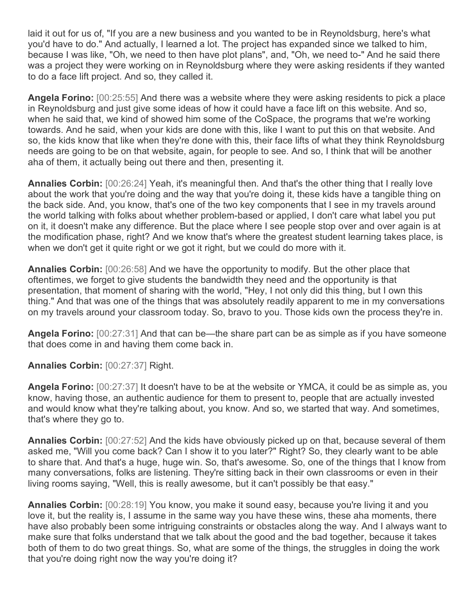laid it out for us of, "If you are a new business and you wanted to be in Reynoldsburg, here's what you'd have to do." And actually, I learned a lot. The project has expanded since we talked to him, because I was like, "Oh, we need to then have plot plans", and, "Oh, we need to-" And he said there was a project they were working on in Reynoldsburg where they were asking residents if they wanted to do a face lift project. And so, they called it.

**Angela Forino:** [00:25:55] And there was a website where they were asking residents to pick a place in Reynoldsburg and just give some ideas of how it could have a face lift on this website. And so, when he said that, we kind of showed him some of the CoSpace, the programs that we're working towards. And he said, when your kids are done with this, like I want to put this on that website. And so, the kids know that like when they're done with this, their face lifts of what they think Reynoldsburg needs are going to be on that website, again, for people to see. And so, I think that will be another aha of them, it actually being out there and then, presenting it.

**Annalies Corbin:** [00:26:24] Yeah, it's meaningful then. And that's the other thing that I really love about the work that you're doing and the way that you're doing it, these kids have a tangible thing on the back side. And, you know, that's one of the two key components that I see in my travels around the world talking with folks about whether problem-based or applied, I don't care what label you put on it, it doesn't make any difference. But the place where I see people stop over and over again is at the modification phase, right? And we know that's where the greatest student learning takes place, is when we don't get it quite right or we got it right, but we could do more with it.

**Annalies Corbin:** [00:26:58] And we have the opportunity to modify. But the other place that oftentimes, we forget to give students the bandwidth they need and the opportunity is that presentation, that moment of sharing with the world, "Hey, I not only did this thing, but I own this thing." And that was one of the things that was absolutely readily apparent to me in my conversations on my travels around your classroom today. So, bravo to you. Those kids own the process they're in.

**Angela Forino:** [00:27:31] And that can be—the share part can be as simple as if you have someone that does come in and having them come back in.

**Annalies Corbin:** [00:27:37] Right.

**Angela Forino:** [00:27:37] It doesn't have to be at the website or YMCA, it could be as simple as, you know, having those, an authentic audience for them to present to, people that are actually invested and would know what they're talking about, you know. And so, we started that way. And sometimes, that's where they go to.

**Annalies Corbin:** [00:27:52] And the kids have obviously picked up on that, because several of them asked me, "Will you come back? Can I show it to you later?" Right? So, they clearly want to be able to share that. And that's a huge, huge win. So, that's awesome. So, one of the things that I know from many conversations, folks are listening. They're sitting back in their own classrooms or even in their living rooms saying, "Well, this is really awesome, but it can't possibly be that easy."

**Annalies Corbin:** [00:28:19] You know, you make it sound easy, because you're living it and you love it, but the reality is, I assume in the same way you have these wins, these aha moments, there have also probably been some intriguing constraints or obstacles along the way. And I always want to make sure that folks understand that we talk about the good and the bad together, because it takes both of them to do two great things. So, what are some of the things, the struggles in doing the work that you're doing right now the way you're doing it?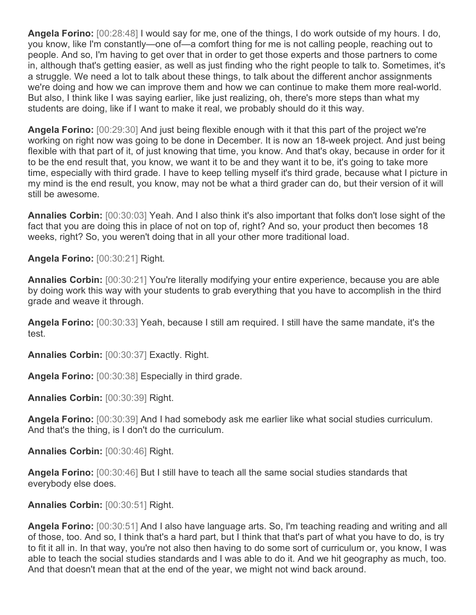**Angela Forino:** [00:28:48] I would say for me, one of the things, I do work outside of my hours. I do, you know, like I'm constantly—one of—a comfort thing for me is not calling people, reaching out to people. And so, I'm having to get over that in order to get those experts and those partners to come in, although that's getting easier, as well as just finding who the right people to talk to. Sometimes, it's a struggle. We need a lot to talk about these things, to talk about the different anchor assignments we're doing and how we can improve them and how we can continue to make them more real-world. But also, I think like I was saying earlier, like just realizing, oh, there's more steps than what my students are doing, like if I want to make it real, we probably should do it this way.

**Angela Forino:** [00:29:30] And just being flexible enough with it that this part of the project we're working on right now was going to be done in December. It is now an 18-week project. And just being flexible with that part of it, of just knowing that time, you know. And that's okay, because in order for it to be the end result that, you know, we want it to be and they want it to be, it's going to take more time, especially with third grade. I have to keep telling myself it's third grade, because what I picture in my mind is the end result, you know, may not be what a third grader can do, but their version of it will still be awesome.

**Annalies Corbin:** [00:30:03] Yeah. And I also think it's also important that folks don't lose sight of the fact that you are doing this in place of not on top of, right? And so, your product then becomes 18 weeks, right? So, you weren't doing that in all your other more traditional load.

**Angela Forino:** [00:30:21] Right.

**Annalies Corbin:** [00:30:21] You're literally modifying your entire experience, because you are able by doing work this way with your students to grab everything that you have to accomplish in the third grade and weave it through.

**Angela Forino:** [00:30:33] Yeah, because I still am required. I still have the same mandate, it's the test.

**Annalies Corbin:** [00:30:37] Exactly. Right.

**Angela Forino:** [00:30:38] Especially in third grade.

**Annalies Corbin:** [00:30:39] Right.

**Angela Forino:** [00:30:39] And I had somebody ask me earlier like what social studies curriculum. And that's the thing, is I don't do the curriculum.

**Annalies Corbin:** [00:30:46] Right.

**Angela Forino:** [00:30:46] But I still have to teach all the same social studies standards that everybody else does.

## **Annalies Corbin:** [00:30:51] Right.

**Angela Forino:** [00:30:51] And I also have language arts. So, I'm teaching reading and writing and all of those, too. And so, I think that's a hard part, but I think that that's part of what you have to do, is try to fit it all in. In that way, you're not also then having to do some sort of curriculum or, you know, I was able to teach the social studies standards and I was able to do it. And we hit geography as much, too. And that doesn't mean that at the end of the year, we might not wind back around.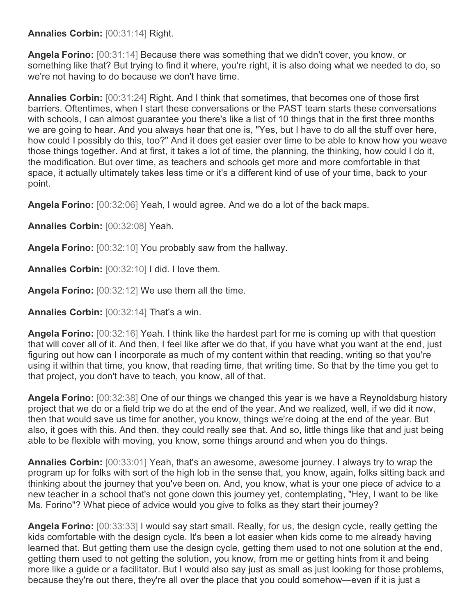**Annalies Corbin:** [00:31:14] Right.

**Angela Forino:** [00:31:14] Because there was something that we didn't cover, you know, or something like that? But trying to find it where, you're right, it is also doing what we needed to do, so we're not having to do because we don't have time.

**Annalies Corbin:** [00:31:24] Right. And I think that sometimes, that becomes one of those first barriers. Oftentimes, when I start these conversations or the PAST team starts these conversations with schools, I can almost guarantee you there's like a list of 10 things that in the first three months we are going to hear. And you always hear that one is, "Yes, but I have to do all the stuff over here, how could I possibly do this, too?" And it does get easier over time to be able to know how you weave those things together. And at first, it takes a lot of time, the planning, the thinking, how could I do it, the modification. But over time, as teachers and schools get more and more comfortable in that space, it actually ultimately takes less time or it's a different kind of use of your time, back to your point.

**Angela Forino:** [00:32:06] Yeah, I would agree. And we do a lot of the back maps.

**Annalies Corbin:** [00:32:08] Yeah.

**Angela Forino:** [00:32:10] You probably saw from the hallway.

**Annalies Corbin:** [00:32:10] I did. I love them.

**Angela Forino:** [00:32:12] We use them all the time.

**Annalies Corbin:** [00:32:14] That's a win.

**Angela Forino:** [00:32:16] Yeah. I think like the hardest part for me is coming up with that question that will cover all of it. And then, I feel like after we do that, if you have what you want at the end, just figuring out how can I incorporate as much of my content within that reading, writing so that you're using it within that time, you know, that reading time, that writing time. So that by the time you get to that project, you don't have to teach, you know, all of that.

**Angela Forino:** [00:32:38] One of our things we changed this year is we have a Reynoldsburg history project that we do or a field trip we do at the end of the year. And we realized, well, if we did it now, then that would save us time for another, you know, things we're doing at the end of the year. But also, it goes with this. And then, they could really see that. And so, little things like that and just being able to be flexible with moving, you know, some things around and when you do things.

**Annalies Corbin:** [00:33:01] Yeah, that's an awesome, awesome journey. I always try to wrap the program up for folks with sort of the high lob in the sense that, you know, again, folks sitting back and thinking about the journey that you've been on. And, you know, what is your one piece of advice to a new teacher in a school that's not gone down this journey yet, contemplating, "Hey, I want to be like Ms. Forino"? What piece of advice would you give to folks as they start their journey?

**Angela Forino:** [00:33:33] I would say start small. Really, for us, the design cycle, really getting the kids comfortable with the design cycle. It's been a lot easier when kids come to me already having learned that. But getting them use the design cycle, getting them used to not one solution at the end, getting them used to not getting the solution, you know, from me or getting hints from it and being more like a quide or a facilitator. But I would also say just as small as just looking for those problems, because they're out there, they're all over the place that you could somehow—even if it is just a